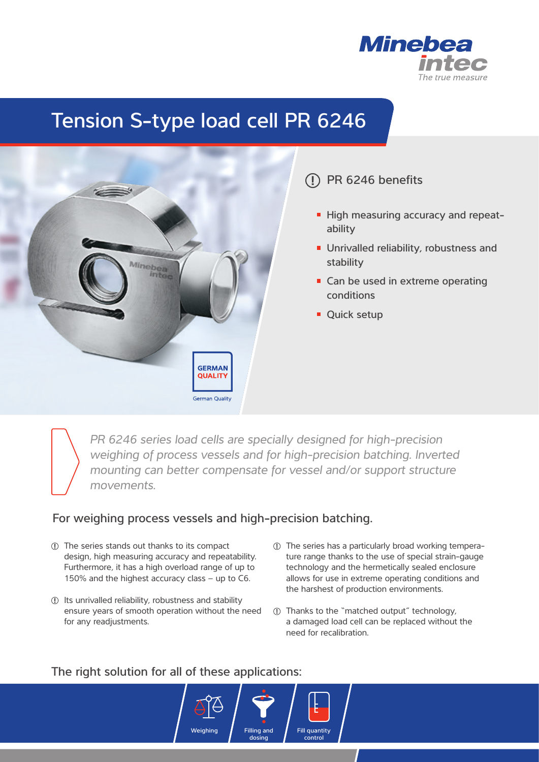

# Tension S-type load cell PR 6246



### PR 6246 benefits

- High measuring accuracy and repeatability
- **Unrivalled reliability, robustness and** stability
- Can be used in extreme operating conditions
- **Quick setup**

*PR 6246 series load cells are specially designed for high-precision weighing of process vessels and for high-precision batching. Inverted mounting can better compensate for vessel and/or support structure movements.*

> Filling and dosing

Fill quantity control

### For weighing process vessels and high-precision batching.

- The series stands out thanks to its compact design, high measuring accuracy and repeatability. Furthermore, it has a high overload range of up to 150% and the highest accuracy class – up to C6.
- Its unrivalled reliability, robustness and stability ensure years of smooth operation without the need for any readjustments.
- The series has a particularly broad working temperature range thanks to the use of special strain-gauge technology and the hermetically sealed enclosure allows for use in extreme operating conditions and the harshest of production environments.
- Thanks to the "matched output" technology, a damaged load cell can be replaced without the need for recalibration.

### The right solution for all of these applications:

Weighing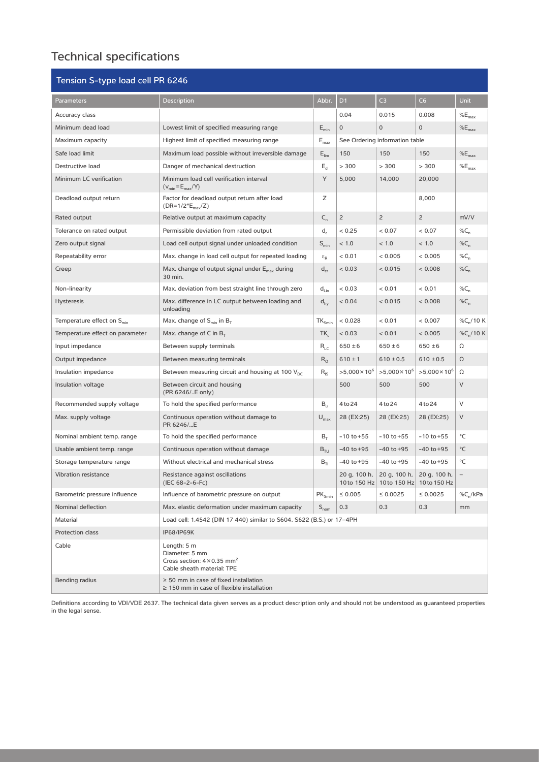# Technical specifications

| Tension S-type load cell PR 6246       |                                                                                                               |                             |                                |                                                                     |                        |                          |  |
|----------------------------------------|---------------------------------------------------------------------------------------------------------------|-----------------------------|--------------------------------|---------------------------------------------------------------------|------------------------|--------------------------|--|
| <b>Parameters</b>                      | <b>Description</b>                                                                                            | Abbr.                       | D1                             | C3                                                                  | C6                     | <b>Unit</b>              |  |
| Accuracy class                         |                                                                                                               |                             | 0.04                           | 0.015                                                               | 0.008                  | $\%E_{\text{max}}$       |  |
| Minimum dead load                      | Lowest limit of specified measuring range                                                                     | $E_{min}$                   | $\mathbf{0}$                   | $\overline{0}$                                                      | $\mathbf{0}$           | $%E_{max}$               |  |
| Maximum capacity                       | Highest limit of specified measuring range                                                                    | $\mathsf{E}_{\mathsf{max}}$ | See Ordering information table |                                                                     |                        |                          |  |
| Safe load limit                        | Maximum load possible without irreversible damage                                                             | $E_{\text{lim}}$            | 150                            | 150                                                                 | 150                    | $%E_{max}$               |  |
| Destructive load                       | Danger of mechanical destruction                                                                              | $E_d$                       | > 300                          | > 300                                                               | > 300                  | $\%E_{\rm max}$          |  |
| Minimum LC verification                | Minimum load cell verification interval<br>$(v_{min} = E_{max}/Y)$                                            | Υ                           | 5,000                          | 14,000                                                              | 20,000                 |                          |  |
| Deadload output return                 | Factor for deadload output return after load<br>$(DR=1/2*E_{max}/Z)$                                          | Ζ                           |                                |                                                                     | 8,000                  |                          |  |
| Rated output                           | Relative output at maximum capacity                                                                           | $C_{n}$                     | $\overline{c}$                 | $\overline{c}$                                                      | $\overline{2}$         | mV/V                     |  |
| Tolerance on rated output              | Permissible deviation from rated output                                                                       | d,                          | < 0.25                         | < 0.07                                                              | < 0.07                 | $\%C_n$                  |  |
| Zero output signal                     | Load cell output signal under unloaded condition                                                              | $S_{\text{min}}$            | < 1.0                          | < 1.0                                                               | < 1.0                  | $\%C_n$                  |  |
| Repeatability error                    | Max. change in load cell output for repeated loading                                                          | $\varepsilon_{\mathsf{R}}$  | < 0.01                         | < 0.005                                                             | < 0.005                | $\%C_n$                  |  |
| Creep                                  | Max. change of output signal under $E_{\text{max}}$ during<br>30 min.                                         | $d_{cr}$                    | < 0.03                         | < 0.015                                                             | < 0.008                | $\%C_n$                  |  |
| Non-linearity                          | Max. deviation from best straight line through zero                                                           | $d_{Lin}$                   | < 0.03                         | < 0.01                                                              | < 0.01                 | $\%C_n$                  |  |
| <b>Hysteresis</b>                      | Max. difference in LC output between loading and<br>unloading                                                 | $d_{hv}$                    | < 0.04                         | < 0.015                                                             | < 0.008                | $\%C_n$                  |  |
| Temperature effect on S <sub>min</sub> | Max. change of $S_{\text{min}}$ in $B_{T}$                                                                    | $TK_{Smin}$                 | < 0.028                        | < 0.01                                                              | < 0.007                | $\%C_n/10$ K             |  |
| Temperature effect on parameter        | Max. change of C in $B_T$                                                                                     | TK <sub>c</sub>             | < 0.03                         | < 0.01                                                              | < 0.005                | % $C_n/10K$              |  |
| Input impedance                        | Between supply terminals                                                                                      | $R_{LC}$                    | $650 \pm 6$                    | $650 \pm 6$                                                         | $650 \pm 6$            | Ω                        |  |
| Output impedance                       | Between measuring terminals                                                                                   | $R_{\rm O}$                 | $610 \pm 1$                    | $610 \pm 0.5$                                                       | $610 \pm 0.5$          | Ω                        |  |
| Insulation impedance                   | Between measuring circuit and housing at 100 $V_{\text{pc}}$                                                  | $R_{\text{IS}}$             | $>5,000 \times 10^6$           | $>5,000 \times 10^6$                                                | $>5,000 \times 10^{6}$ | Ω                        |  |
| Insulation voltage                     | Between circuit and housing<br>(PR 6246/E only)                                                               |                             | 500                            | 500                                                                 | 500                    | V                        |  |
| Recommended supply voltage             | To hold the specified performance                                                                             | $B_{\rm u}$                 | 4 to 24                        | 4 to 24                                                             | 4 to 24                | V                        |  |
| Max. supply voltage                    | Continuous operation without damage to<br>PR 6246/E                                                           | $U_{\text{max}}$            | 28 (EX:25)                     | 28 (EX:25)                                                          | 28 (EX:25)             | V                        |  |
| Nominal ambient temp. range            | To hold the specified performance                                                                             | $B_T$                       | $-10$ to $+55$                 | $-10$ to $+55$                                                      | $-10$ to $+55$         | °C                       |  |
| Usable ambient temp. range             | Continuous operation without damage                                                                           | $B_{\tau U}$                | $-40$ to $+95$                 | $-40$ to $+95$                                                      | $-40$ to $+95$         | °C                       |  |
| Storage temperature range              | Without electrical and mechanical stress                                                                      | $B_{T}$                     | $-40$ to $+95$                 | $-40$ to $+95$                                                      | $-40$ to $+95$         | °C                       |  |
| Vibration resistance                   | Resistance against oscillations<br>(IEC 68-2-6-Fc)                                                            |                             |                                | 20 g, 100 h, 20 g, 100 h,<br>10 to 150 Hz 10 to 150 Hz 10 to 150 Hz | 20 g, 100 h,           | $\overline{\phantom{0}}$ |  |
| Barometric pressure influence          | Influence of barometric pressure on output                                                                    | $PK_{Smin}$                 | $\leq 0.005$                   | $\leq 0.0025$                                                       | $\leq 0.0025$          | %C <sub>n</sub> /kPa     |  |
| Nominal deflection                     | Max. elastic deformation under maximum capacity                                                               | $S_{nom}$                   | 0.3                            | 0.3                                                                 | 0.3                    | mm                       |  |
| Material                               | Load cell: 1.4542 (DIN 17 440) similar to S604, S622 (B.S.) or 17-4PH                                         |                             |                                |                                                                     |                        |                          |  |
| Protection class                       | <b>IP68/IP69K</b>                                                                                             |                             |                                |                                                                     |                        |                          |  |
| Cable                                  | Length: 5 m<br>Diameter: 5 mm<br>Cross section: $4 \times 0.35$ mm <sup>2</sup><br>Cable sheath material: TPE |                             |                                |                                                                     |                        |                          |  |
| Bending radius                         | $\geq$ 50 mm in case of fixed installation<br>$\geq$ 150 mm in case of flexible installation                  |                             |                                |                                                                     |                        |                          |  |

Definitions according to VDI/VDE 2637. The technical data given serves as a product description only and should not be understood as guaranteed properties in the legal sense.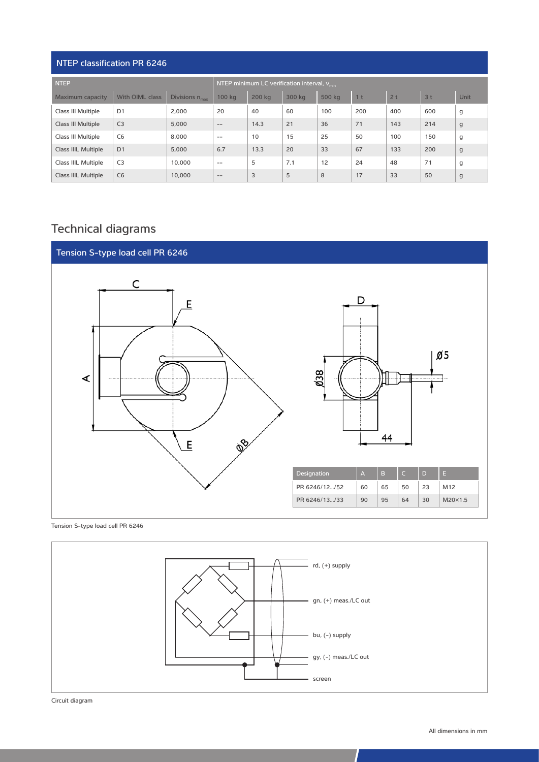#### NTEP classification PR 6246

| <b>NTEP</b>         |                 |                            | NTEP minimum LC verification interval, v <sub>min</sub> |        |        |        |                |     |                |              |
|---------------------|-----------------|----------------------------|---------------------------------------------------------|--------|--------|--------|----------------|-----|----------------|--------------|
| Maximum capacity    | With OIML class | Divisions n <sub>max</sub> | 100 kg                                                  | 200 kg | 300 kg | 500 kg | 1 <sup>t</sup> | 2t  | 3 <sup>t</sup> | Unit         |
| Class III Multiple  | D <sub>1</sub>  | 2,000                      | 20                                                      | 40     | 60     | 100    | 200            | 400 | 600            | g            |
| Class III Multiple  | C <sub>3</sub>  | 5,000                      | $\qquad \qquad -$                                       | 14.3   | 21     | 36     | 71             | 143 | 214            | $\mathsf{g}$ |
| Class III Multiple  | C <sub>6</sub>  | 8,000                      | $- -$                                                   | 10     | 15     | 25     | 50             | 100 | 150            | g            |
| Class IIIL Multiple | D <sub>1</sub>  | 5,000                      | 6.7                                                     | 13.3   | 20     | 33     | 67             | 133 | 200            | $\mathsf{g}$ |
| Class IIIL Multiple | C <sub>3</sub>  | 10,000                     | $- -$                                                   | 5      | 7.1    | 12     | 24             | 48  | 71             | g            |
| Class IIIL Multiple | C6              | 10,000                     | $\qquad \qquad -$                                       | 3      | 5      | 8      | 17             | 33  | 50             | g            |

# Technical diagrams



Tension S-type load cell PR 6246